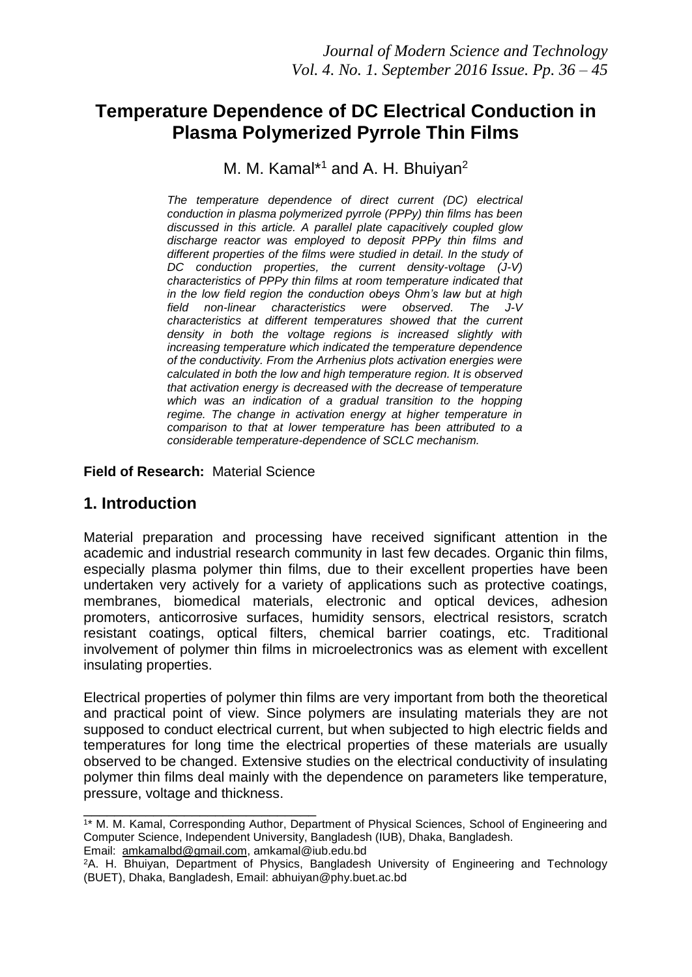# **Temperature Dependence of DC Electrical Conduction in Plasma Polymerized Pyrrole Thin Films**

### M. M. Kamal\*<sup>1</sup> and A. H. Bhuiyan<sup>2</sup>

*The temperature dependence of direct current (DC) electrical conduction in plasma polymerized pyrrole (PPPy) thin films has been discussed in this article. A parallel plate capacitively coupled glow discharge reactor was employed to deposit PPPy thin films and different properties of the films were studied in detail. In the study of DC conduction properties, the current density-voltage (J-V) characteristics of PPPy thin films at room temperature indicated that in the low field region the conduction obeys Ohm's law but at high field non-linear characteristics were observed. The characteristics at different temperatures showed that the current density in both the voltage regions is increased slightly with increasing temperature which indicated the temperature dependence of the conductivity. From the Arrhenius plots activation energies were calculated in both the low and high temperature region. It is observed that activation energy is decreased with the decrease of temperature which was an indication of a gradual transition to the hopping regime. The change in activation energy at higher temperature in comparison to that at lower temperature has been attributed to a considerable temperature-dependence of SCLC mechanism.*

**Field of Research:** Material Science

\_\_\_\_\_\_\_\_\_\_\_\_\_\_\_\_\_\_\_\_\_\_\_\_\_\_\_\_\_\_

### **1. Introduction**

Material preparation and processing have received significant attention in the academic and industrial research community in last few decades. Organic thin films, especially plasma polymer thin films, due to their excellent properties have been undertaken very actively for a variety of applications such as protective coatings, membranes, biomedical materials, electronic and optical devices, adhesion promoters, anticorrosive surfaces, humidity sensors, electrical resistors, scratch resistant coatings, optical filters, chemical barrier coatings, etc. Traditional involvement of polymer thin films in microelectronics was as element with excellent insulating properties.

Electrical properties of polymer thin films are very important from both the theoretical and practical point of view. Since polymers are insulating materials they are not supposed to conduct electrical current, but when subjected to high electric fields and temperatures for long time the electrical properties of these materials are usually observed to be changed. Extensive studies on the electrical conductivity of insulating polymer thin films deal mainly with the dependence on parameters like temperature, pressure, voltage and thickness.

<sup>1</sup> \* M. M. Kamal, Corresponding Author, Department of Physical Sciences, School of Engineering and Computer Science, Independent University, Bangladesh (IUB), Dhaka, Bangladesh. Email: [amkamalbd@gmail.com,](mailto:amkamalbd@gmail.com) amkamal@iub.edu.bd

<sup>2</sup>A. H. Bhuiyan, Department of Physics, Bangladesh University of Engineering and Technology (BUET), Dhaka, Bangladesh, Email: abhuiyan@phy.buet.ac.bd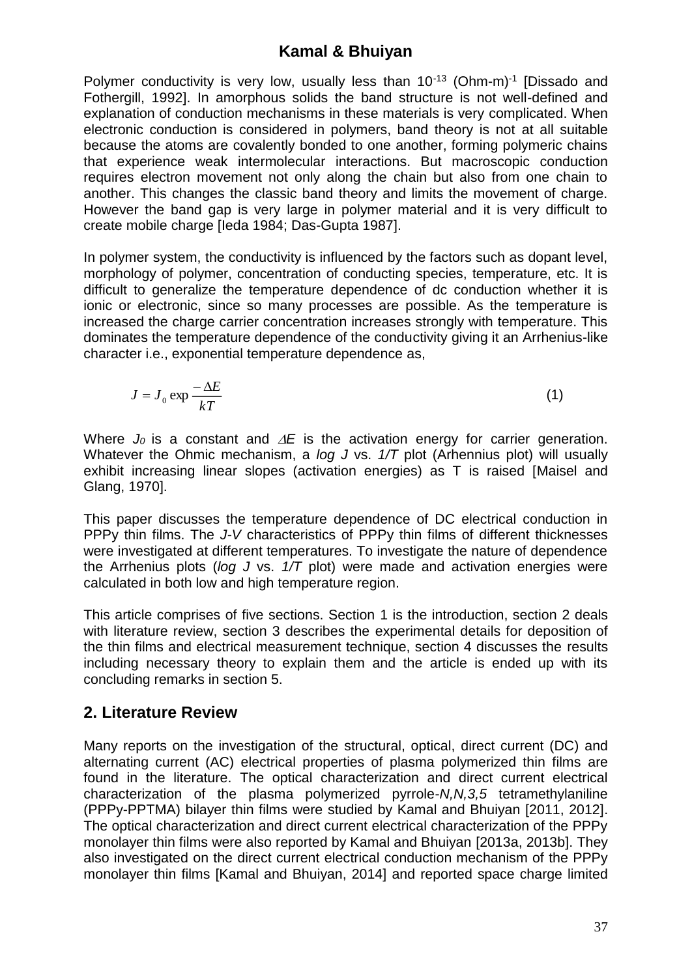Polymer conductivity is very low, usually less than 10<sup>-13</sup> (Ohm-m)<sup>-1</sup> [Dissado and Fothergill, 1992]. In amorphous solids the band structure is not well-defined and explanation of conduction mechanisms in these materials is very complicated. When electronic conduction is considered in polymers, band theory is not at all suitable because the atoms are covalently bonded to one another, forming polymeric chains that experience weak intermolecular interactions. But macroscopic conduction requires electron movement not only along the chain but also from one chain to another. This changes the classic band theory and limits the movement of charge. However the band gap is very large in polymer material and it is very difficult to create mobile charge [Ieda 1984; Das-Gupta 1987].

In polymer system, the conductivity is influenced by the factors such as dopant level, morphology of polymer, concentration of conducting species, temperature, etc. It is difficult to generalize the temperature dependence of dc conduction whether it is ionic or electronic, since so many processes are possible. As the temperature is increased the charge carrier concentration increases strongly with temperature. This dominates the temperature dependence of the conductivity giving it an Arrhenius-like character i.e., exponential temperature dependence as,

$$
J = J_0 \exp \frac{-\Delta E}{kT}
$$
 (1)

Where  $J_0$  is a constant and  $\Delta E$  is the activation energy for carrier generation. Whatever the Ohmic mechanism, a *log J* vs. *1/T* plot (Arhennius plot) will usually exhibit increasing linear slopes (activation energies) as T is raised [Maisel and Glang, 1970].

This paper discusses the temperature dependence of DC electrical conduction in PPPy thin films. The *J-V* characteristics of PPPy thin films of different thicknesses were investigated at different temperatures. To investigate the nature of dependence the Arrhenius plots (*log J* vs. *1/T* plot) were made and activation energies were calculated in both low and high temperature region.

This article comprises of five sections. Section 1 is the introduction, section 2 deals with literature review, section 3 describes the experimental details for deposition of the thin films and electrical measurement technique, section 4 discusses the results including necessary theory to explain them and the article is ended up with its concluding remarks in section 5.

## **2. Literature Review**

Many reports on the investigation of the structural, optical, direct current (DC) and alternating current (AC) electrical properties of plasma polymerized thin films are found in the literature. The optical characterization and direct current electrical characterization of the plasma polymerized pyrrole-*N,N,3,5* tetramethylaniline (PPPy-PPTMA) bilayer thin films were studied by Kamal and Bhuiyan [2011, 2012]. The optical characterization and direct current electrical characterization of the PPPy monolayer thin films were also reported by Kamal and Bhuiyan [2013a, 2013b]. They also investigated on the direct current electrical conduction mechanism of the PPPy monolayer thin films [Kamal and Bhuiyan, 2014] and reported space charge limited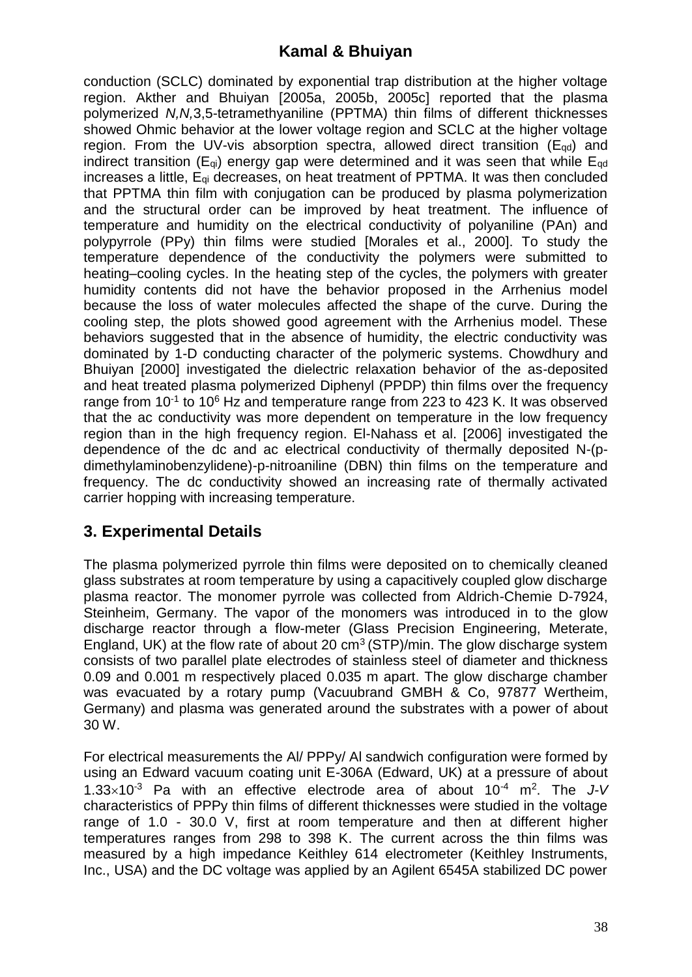conduction (SCLC) dominated by exponential trap distribution at the higher voltage region. Akther and Bhuiyan [2005a, 2005b, 2005c] reported that the plasma polymerized *N,N,*3,5-tetramethyaniline (PPTMA) thin films of different thicknesses showed Ohmic behavior at the lower voltage region and SCLC at the higher voltage region. From the UV-vis absorption spectra, allowed direct transition ( $E_{\text{od}}$ ) and indirect transition ( $E_{qi}$ ) energy gap were determined and it was seen that while  $E_{qd}$ increases a little, Eqi decreases, on heat treatment of PPTMA. It was then concluded that PPTMA thin film with conjugation can be produced by plasma polymerization and the structural order can be improved by heat treatment. The influence of temperature and humidity on the electrical conductivity of polyaniline (PAn) and polypyrrole (PPy) thin films were studied [Morales et al., 2000]. To study the temperature dependence of the conductivity the polymers were submitted to heating–cooling cycles. In the heating step of the cycles, the polymers with greater humidity contents did not have the behavior proposed in the Arrhenius model because the loss of water molecules affected the shape of the curve. During the cooling step, the plots showed good agreement with the Arrhenius model. These behaviors suggested that in the absence of humidity, the electric conductivity was dominated by 1-D conducting character of the polymeric systems. Chowdhury and Bhuiyan [2000] investigated the dielectric relaxation behavior of the as-deposited and heat treated plasma polymerized Diphenyl (PPDP) thin films over the frequency range from 10<sup>-1</sup> to 10<sup>6</sup> Hz and temperature range from 223 to 423 K. It was observed that the ac conductivity was more dependent on temperature in the low frequency region than in the high frequency region. El-Nahass et al. [2006] investigated the dependence of the dc and ac electrical conductivity of thermally deposited N-(pdimethylaminobenzylidene)-p-nitroaniline (DBN) thin films on the temperature and frequency. The dc conductivity showed an increasing rate of thermally activated carrier hopping with increasing temperature.

# **3. Experimental Details**

The plasma polymerized pyrrole thin films were deposited on to chemically cleaned glass substrates at room temperature by using a capacitively coupled glow discharge plasma reactor. The monomer pyrrole was collected from Aldrich-Chemie D-7924, Steinheim, Germany. The vapor of the monomers was introduced in to the glow discharge reactor through a flow-meter (Glass Precision Engineering, Meterate, England, UK) at the flow rate of about 20  $cm<sup>3</sup>$  (STP)/min. The glow discharge system consists of two parallel plate electrodes of stainless steel of diameter and thickness 0.09 and 0.001 m respectively placed 0.035 m apart. The glow discharge chamber was evacuated by a rotary pump (Vacuubrand GMBH & Co, 97877 Wertheim, Germany) and plasma was generated around the substrates with a power of about 30 W.

For electrical measurements the Al/ PPPy/ Al sandwich configuration were formed by using an Edward vacuum coating unit E-306A (Edward, UK) at a pressure of about 1.33×10<sup>-3</sup> Pa with an effective electrode area of about 10<sup>-4</sup> m<sup>2</sup>. The J-V characteristics of PPPy thin films of different thicknesses were studied in the voltage range of 1.0 - 30.0 V, first at room temperature and then at different higher temperatures ranges from 298 to 398 K. The current across the thin films was measured by a high impedance Keithley 614 electrometer (Keithley Instruments, Inc., USA) and the DC voltage was applied by an Agilent 6545A stabilized DC power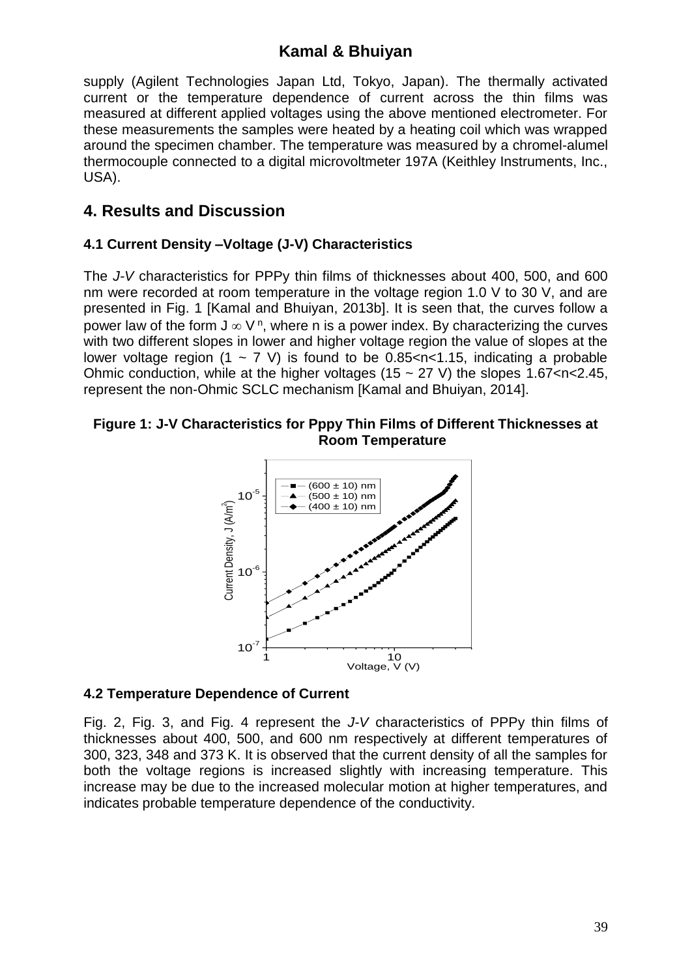supply (Agilent Technologies Japan Ltd, Tokyo, Japan). The thermally activated current or the temperature dependence of current across the thin films was measured at different applied voltages using the above mentioned electrometer. For these measurements the samples were heated by a heating coil which was wrapped around the specimen chamber. The temperature was measured by a chromel-alumel thermocouple connected to a digital microvoltmeter 197A (Keithley Instruments, Inc., USA).

## **4. Results and Discussion**

### **4.1 Current Density –Voltage (J-V) Characteristics**

The *J-V* characteristics for PPPy thin films of thicknesses about 400, 500, and 600 nm were recorded at room temperature in the voltage region 1.0 V to 30 V, and are presented in Fig. 1 [Kamal and Bhuiyan, 2013b]. It is seen that, the curves follow a power law of the form  $J \in V^n$ , where n is a power index. By characterizing the curves with two different slopes in lower and higher voltage region the value of slopes at the lower voltage region  $(1 \sim 7 \text{ V})$  is found to be 0.85 < n < 1.15, indicating a probable Ohmic conduction, while at the higher voltages (15  $\sim$  27 V) the slopes 1.67 < n < 2.45, represent the non-Ohmic SCLC mechanism [Kamal and Bhuiyan, 2014].

#### **Figure 1: J-V Characteristics for Pppy Thin Films of Different Thicknesses at Room Temperature**



### **4.2 Temperature Dependence of Current**

Fig. 2, Fig. 3, and Fig. 4 represent the *J-V* characteristics of PPPy thin films of thicknesses about 400, 500, and 600 nm respectively at different temperatures of 300, 323, 348 and 373 K. It is observed that the current density of all the samples for both the voltage regions is increased slightly with increasing temperature. This increase may be due to the increased molecular motion at higher temperatures, and indicates probable temperature dependence of the conductivity.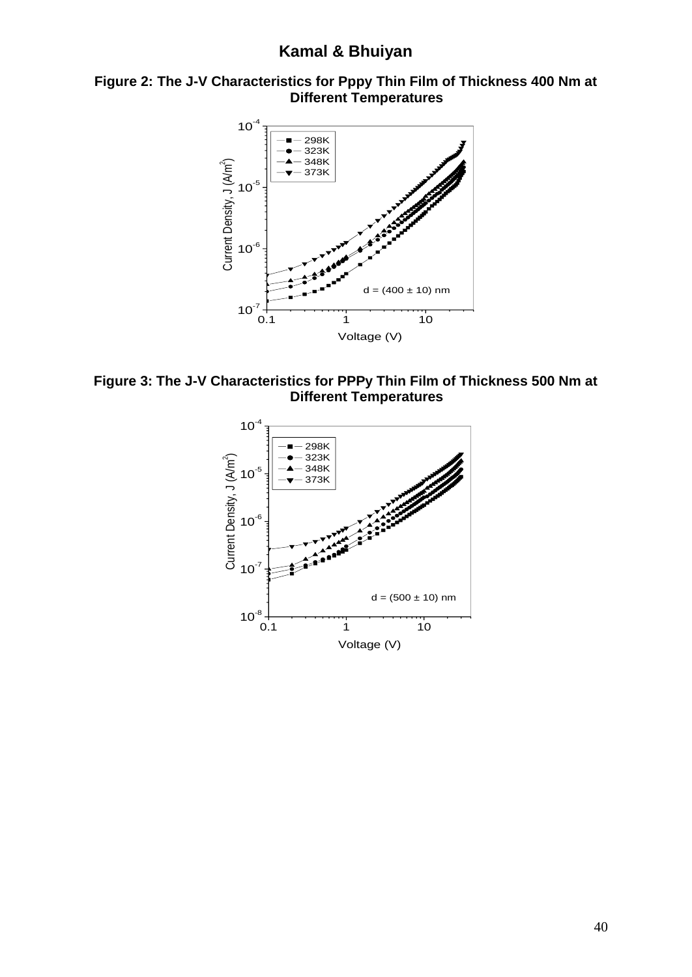



**Figure 3: The J-V Characteristics for PPPy Thin Film of Thickness 500 Nm at Different Temperatures**

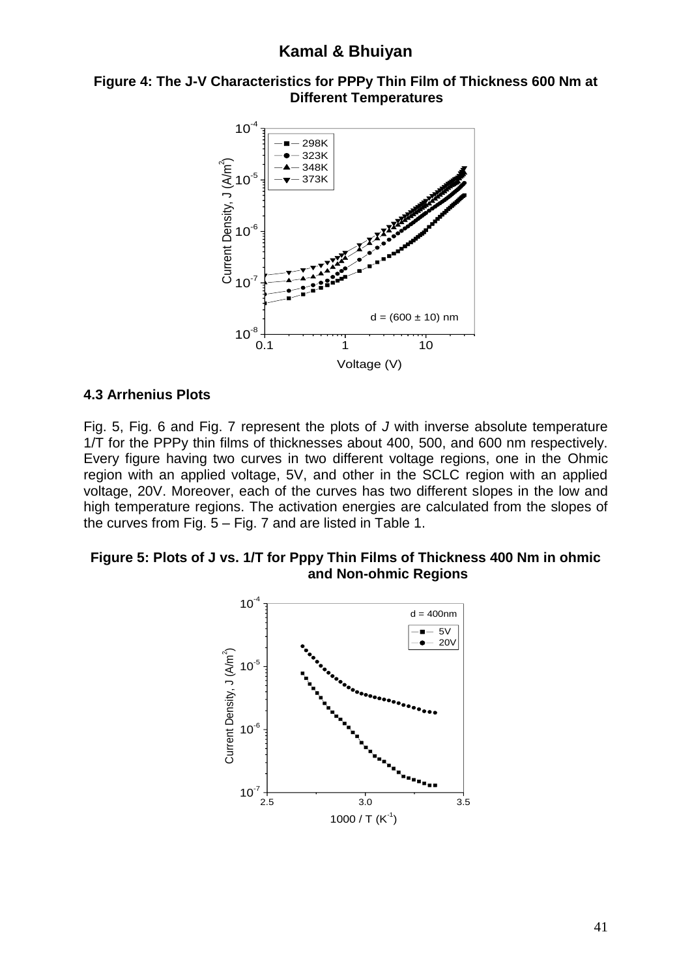#### **Figure 4: The J-V Characteristics for PPPy Thin Film of Thickness 600 Nm at Different Temperatures**



#### **4.3 Arrhenius Plots**

Fig. 5, Fig. 6 and Fig. 7 represent the plots of *J* with inverse absolute temperature 1/T for the PPPy thin films of thicknesses about 400, 500, and 600 nm respectively. Every figure having two curves in two different voltage regions, one in the Ohmic region with an applied voltage, 5V, and other in the SCLC region with an applied voltage, 20V. Moreover, each of the curves has two different slopes in the low and high temperature regions. The activation energies are calculated from the slopes of the curves from Fig. 5 – Fig. 7 and are listed in Table 1.

#### **Figure 5: Plots of J vs. 1/T for Pppy Thin Films of Thickness 400 Nm in ohmic and Non-ohmic Regions**

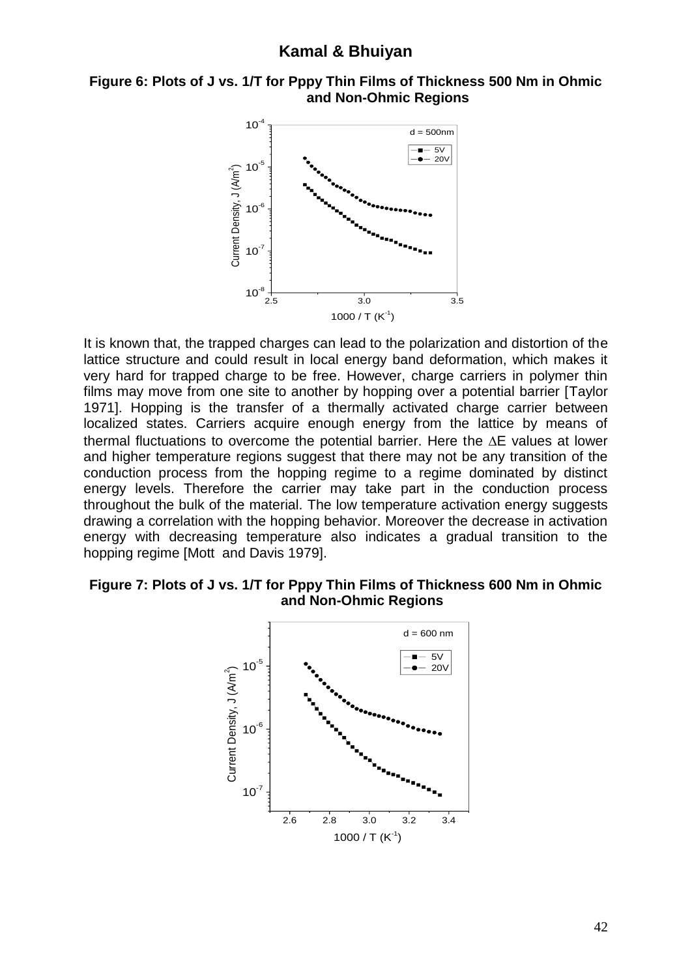#### **Figure 6: Plots of J vs. 1/T for Pppy Thin Films of Thickness 500 Nm in Ohmic and Non-Ohmic Regions**



It is known that, the trapped charges can lead to the polarization and distortion of the lattice structure and could result in local energy band deformation, which makes it very hard for trapped charge to be free. However, charge carriers in polymer thin films may move from one site to another by hopping over a potential barrier [Taylor 1971]. Hopping is the transfer of a thermally activated charge carrier between localized states. Carriers acquire enough energy from the lattice by means of thermal fluctuations to overcome the potential barrier. Here the  $\Delta E$  values at lower and higher temperature regions suggest that there may not be any transition of the conduction process from the hopping regime to a regime dominated by distinct energy levels. Therefore the carrier may take part in the conduction process throughout the bulk of the material. The low temperature activation energy suggests drawing a correlation with the hopping behavior. Moreover the decrease in activation energy with decreasing temperature also indicates a gradual transition to the hopping regime [Mott and Davis 1979].

#### **Figure 7: Plots of J vs. 1/T for Pppy Thin Films of Thickness 600 Nm in Ohmic and Non-Ohmic Regions**

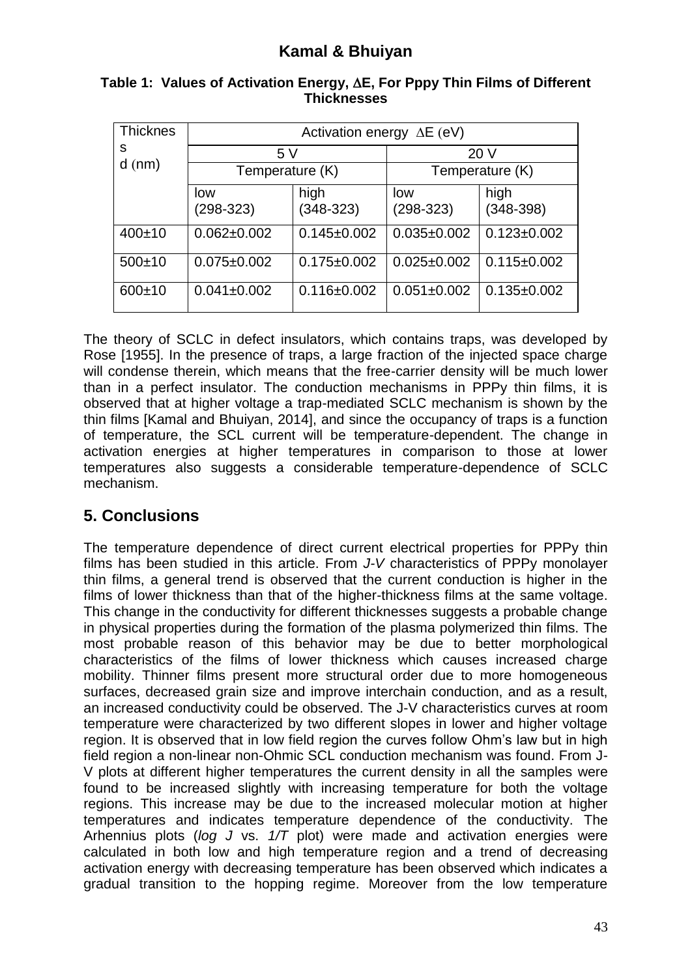| <b>Thicknes</b><br>s<br>$d$ (nm) | Activation energy $\Delta E$ (eV) |                     |                    |                     |
|----------------------------------|-----------------------------------|---------------------|--------------------|---------------------|
|                                  | 5V                                |                     | 20 V               |                     |
|                                  | Temperature (K)                   |                     | Temperature (K)    |                     |
|                                  | low<br>$(298-323)$                | high<br>$(348-323)$ | low<br>$(298-323)$ | high<br>$(348-398)$ |
| 400±10                           | $0.062 \pm 0.002$                 | $0.145 \pm 0.002$   | $0.035 \pm 0.002$  | $0.123 \pm 0.002$   |
| $500+10$                         | $0.075 \pm 0.002$                 | $0.175 \pm 0.002$   | $0.025 \pm 0.002$  | $0.115 \pm 0.002$   |
| $600+10$                         | $0.041 \pm 0.002$                 | $0.116 \pm 0.002$   | $0.051 \pm 0.002$  | $0.135 \pm 0.002$   |

### **Table 1: Values of Activation Energy, E, For Pppy Thin Films of Different Thicknesses**

The theory of SCLC in defect insulators, which contains traps, was developed by Rose [1955]. In the presence of traps, a large fraction of the injected space charge will condense therein, which means that the free-carrier density will be much lower than in a perfect insulator. The conduction mechanisms in PPPy thin films, it is observed that at higher voltage a trap-mediated SCLC mechanism is shown by the thin films [Kamal and Bhuiyan, 2014], and since the occupancy of traps is a function of temperature, the SCL current will be temperature-dependent. The change in activation energies at higher temperatures in comparison to those at lower temperatures also suggests a considerable temperature-dependence of SCLC mechanism.

# **5. Conclusions**

The temperature dependence of direct current electrical properties for PPPy thin films has been studied in this article. From *J-V* characteristics of PPPy monolayer thin films, a general trend is observed that the current conduction is higher in the films of lower thickness than that of the higher-thickness films at the same voltage. This change in the conductivity for different thicknesses suggests a probable change in physical properties during the formation of the plasma polymerized thin films. The most probable reason of this behavior may be due to better morphological characteristics of the films of lower thickness which causes increased charge mobility. Thinner films present more structural order due to more homogeneous surfaces, decreased grain size and improve interchain conduction, and as a result, an increased conductivity could be observed. The J-V characteristics curves at room temperature were characterized by two different slopes in lower and higher voltage region. It is observed that in low field region the curves follow Ohm's law but in high field region a non-linear non-Ohmic SCL conduction mechanism was found. From J-V plots at different higher temperatures the current density in all the samples were found to be increased slightly with increasing temperature for both the voltage regions. This increase may be due to the increased molecular motion at higher temperatures and indicates temperature dependence of the conductivity. The Arhennius plots (*log J* vs. *1/T* plot) were made and activation energies were calculated in both low and high temperature region and a trend of decreasing activation energy with decreasing temperature has been observed which indicates a gradual transition to the hopping regime. Moreover from the low temperature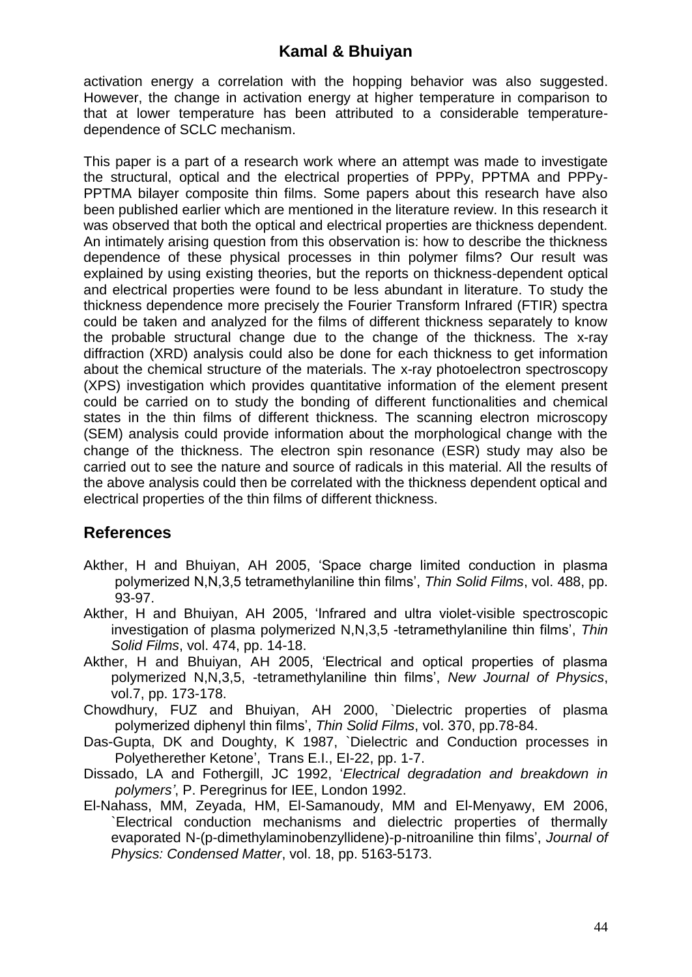activation energy a correlation with the hopping behavior was also suggested. However, the change in activation energy at higher temperature in comparison to that at lower temperature has been attributed to a considerable temperaturedependence of SCLC mechanism.

This paper is a part of a research work where an attempt was made to investigate the structural, optical and the electrical properties of PPPy, PPTMA and PPPy-PPTMA bilayer composite thin films. Some papers about this research have also been published earlier which are mentioned in the literature review. In this research it was observed that both the optical and electrical properties are thickness dependent. An intimately arising question from this observation is: how to describe the thickness dependence of these physical processes in thin polymer films? Our result was explained by using existing theories, but the reports on thickness-dependent optical and electrical properties were found to be less abundant in literature. To study the thickness dependence more precisely the Fourier Transform Infrared (FTIR) spectra could be taken and analyzed for the films of different thickness separately to know the probable structural change due to the change of the thickness. The x-ray diffraction (XRD) analysis could also be done for each thickness to get information about the chemical structure of the materials. The x*-*ray photoelectron spectroscopy (XPS) investigation which provides quantitative information of the element present could be carried on to study the bonding of different functionalities and chemical states in the thin films of different thickness. The scanning electron microscopy (SEM) analysis could provide information about the morphological change with the change of the thickness. The electron spin resonance (ESR) study may also be carried out to see the nature and source of radicals in this material. All the results of the above analysis could then be correlated with the thickness dependent optical and electrical properties of the thin films of different thickness.

## **References**

- Akther, H and Bhuiyan, AH 2005, 'Space charge limited conduction in plasma polymerized N,N,3,5 tetramethylaniline thin films', *Thin Solid Films*, vol. 488, pp. 93-97.
- Akther, H and Bhuiyan, AH 2005, 'Infrared and ultra violet-visible spectroscopic investigation of plasma polymerized N,N,3,5 -tetramethylaniline thin films', *Thin Solid Films*, vol. 474, pp. 14-18.
- Akther, H and Bhuiyan, AH 2005, 'Electrical and optical properties of plasma polymerized N,N,3,5, -tetramethylaniline thin films', *New Journal of Physics*, vol.7, pp. 173-178.
- Chowdhury, FUZ and Bhuiyan, AH 2000, `Dielectric properties of plasma polymerized diphenyl thin films', *Thin Solid Films*, vol. 370, pp.78-84.
- Das-Gupta, DK and Doughty, K 1987, `Dielectric and Conduction processes in Polyetherether Ketone', Trans E.I., EI-22, pp. 1-7.
- Dissado, LA and Fothergill, JC 1992, '*Electrical degradation and breakdown in polymers'*, P. Peregrinus for IEE, London 1992.
- El-Nahass, MM, Zeyada, HM, El-Samanoudy, MM and El-Menyawy, EM 2006, `Electrical conduction mechanisms and dielectric properties of thermally evaporated N-(p-dimethylaminobenzyllidene)-p-nitroaniline thin films', *Journal of Physics: Condensed Matter*, vol. 18, pp. 5163-5173.